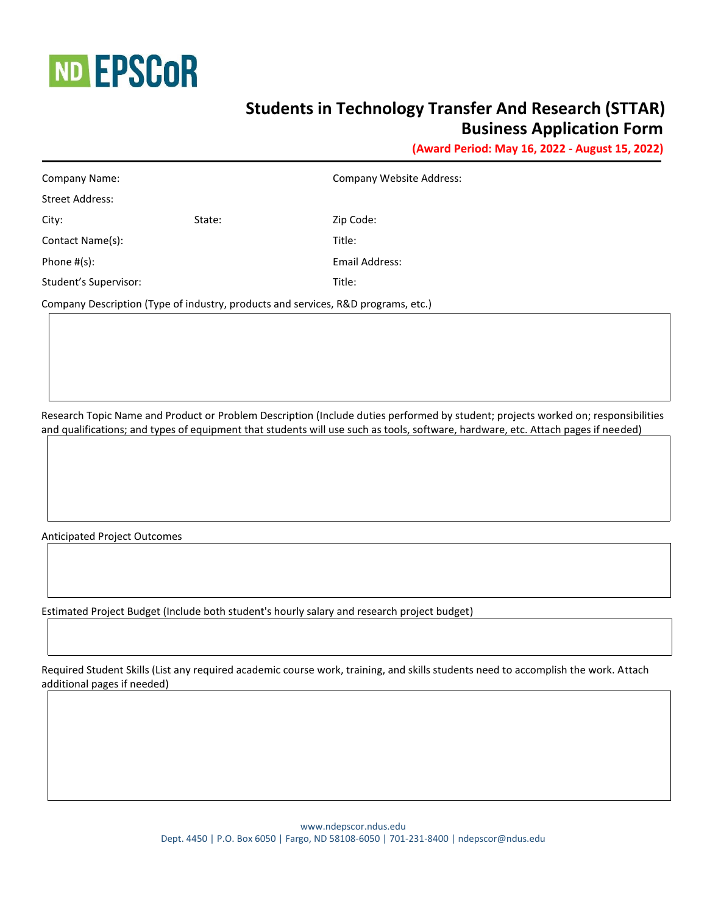

## **Students in Technology Transfer And Research (STTAR) Business Application Form**

**(Award Period: May 16, 2022 - August 15, 2022)**

| Company Name:                                                                     |        | Company Website Address: |  |  |
|-----------------------------------------------------------------------------------|--------|--------------------------|--|--|
| <b>Street Address:</b>                                                            |        |                          |  |  |
| City:                                                                             | State: | Zip Code:                |  |  |
| Contact Name(s):                                                                  |        | Title:                   |  |  |
| Phone $#(s)$ :                                                                    |        | Email Address:           |  |  |
| Student's Supervisor:                                                             |        | Title:                   |  |  |
| Company Description (Type of industry, products and services, R&D programs, etc.) |        |                          |  |  |

Research Topic Name and Product or Problem Description (Include duties performed by student; projects worked on; responsibilities and qualifications; and types of equipment that students will use such as tools, software, hardware, etc. Attach pages if needed)

Anticipated Project Outcomes

Estimated Project Budget (Include both student's hourly salary and research project budget)

Required Student Skills (List any required academic course work, training, and skills students need to accomplish the work. Attach additional pages if needed)